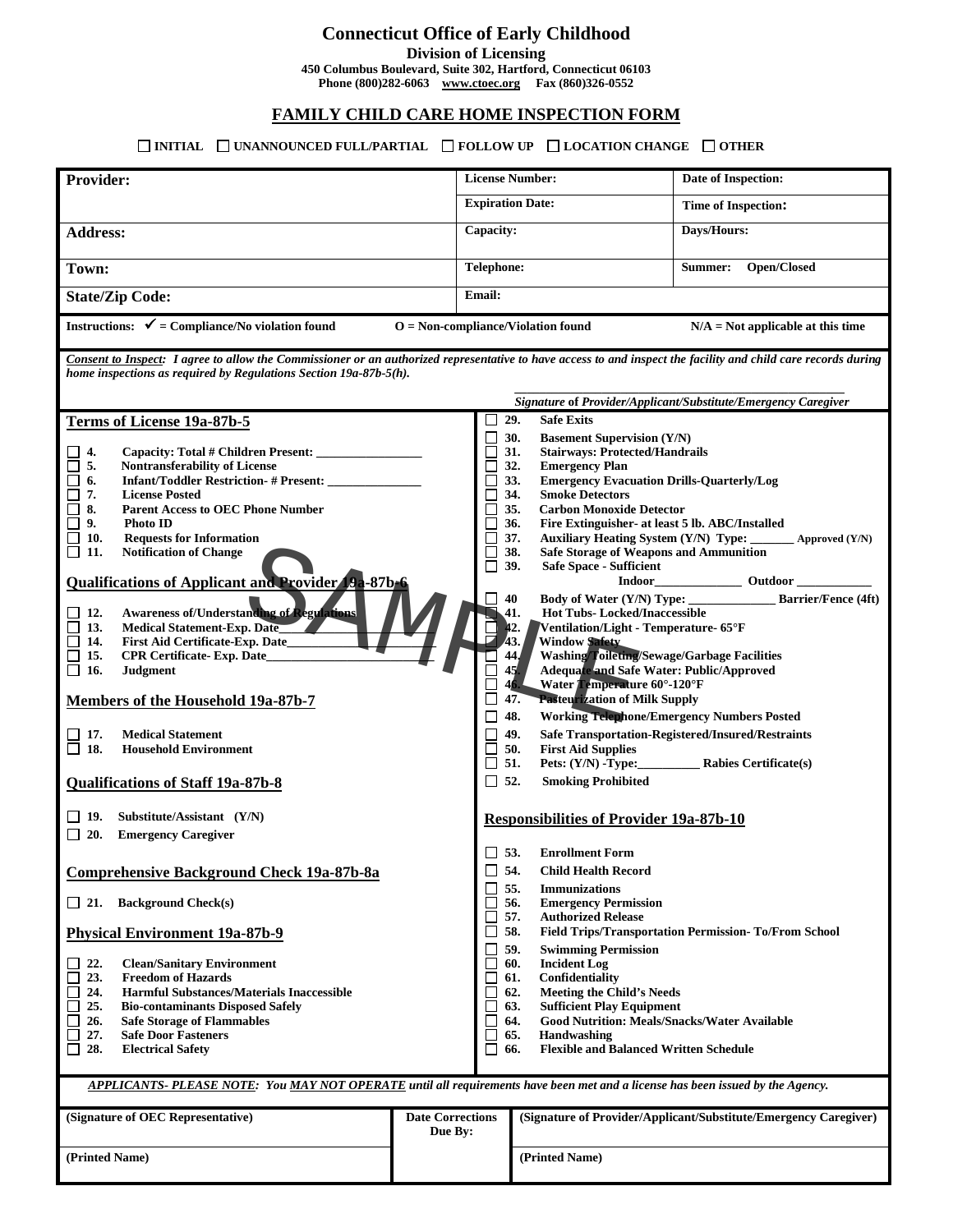# **Connecticut Office of Early Childhood**

**Division of Licensing**

**450 Columbus Boulevard, Suite 302, Hartford, Connecticut 06103**

**Phone (800)282-6063 [www.ctoec.org](http://www.ctoec.org/) Fax (860)326-0552**

### **FAMILY CHILD CARE HOME INSPECTION FORM**

### **INITIAL UNANNOUNCED FULL/PARTIAL FOLLOW UP LOCATION CHANGE OTHER**

| Provider:                                                                                                                                                      |                                                                                             |                         | <b>License Number:</b>                                                |            |                                                                            | Date of Inspection:                                              |  |  |  |
|----------------------------------------------------------------------------------------------------------------------------------------------------------------|---------------------------------------------------------------------------------------------|-------------------------|-----------------------------------------------------------------------|------------|----------------------------------------------------------------------------|------------------------------------------------------------------|--|--|--|
|                                                                                                                                                                |                                                                                             |                         | <b>Expiration Date:</b>                                               |            |                                                                            | <b>Time of Inspection:</b>                                       |  |  |  |
| <b>Address:</b>                                                                                                                                                |                                                                                             |                         | Capacity:                                                             |            |                                                                            | Days/Hours:                                                      |  |  |  |
| Town:                                                                                                                                                          |                                                                                             |                         | <b>Telephone:</b>                                                     |            |                                                                            | Open/Closed<br>Summer:                                           |  |  |  |
| <b>State/Zip Code:</b>                                                                                                                                         |                                                                                             |                         | <b>Email:</b>                                                         |            |                                                                            |                                                                  |  |  |  |
| Instructions: $\checkmark$ = Compliance/No violation found<br>$O = Non-compliance/Violation found$<br>$N/A = Not$ applicable at this time                      |                                                                                             |                         |                                                                       |            |                                                                            |                                                                  |  |  |  |
| Consent to Inspect: I agree to allow the Commissioner or an authorized representative to have access to and inspect the facility and child care records during |                                                                                             |                         |                                                                       |            |                                                                            |                                                                  |  |  |  |
| home inspections as required by Regulations Section 19a-87b-5(h).                                                                                              |                                                                                             |                         |                                                                       |            |                                                                            |                                                                  |  |  |  |
|                                                                                                                                                                |                                                                                             |                         | Signature of Provider/Applicant/Substitute/Emergency Caregiver<br>29. |            |                                                                            |                                                                  |  |  |  |
|                                                                                                                                                                | Terms of License 19a-87b-5                                                                  |                         |                                                                       | 30.        | <b>Safe Exits</b><br><b>Basement Supervision (Y/N)</b>                     |                                                                  |  |  |  |
| 4.                                                                                                                                                             |                                                                                             |                         |                                                                       | 31.        | <b>Stairways: Protected/Handrails</b>                                      |                                                                  |  |  |  |
| П<br>5.                                                                                                                                                        | <b>Nontransferability of License</b>                                                        |                         |                                                                       | 32.        | <b>Emergency Plan</b>                                                      |                                                                  |  |  |  |
| $\Box$<br>6.                                                                                                                                                   | Infant/Toddler Restriction- # Present: _____________                                        |                         |                                                                       | 33.        | <b>Emergency Evacuation Drills-Quarterly/Log</b>                           |                                                                  |  |  |  |
| 7.<br>⊔<br>$\Box$<br>8.                                                                                                                                        | <b>License Posted</b><br><b>Parent Access to OEC Phone Number</b>                           |                         |                                                                       | 34.<br>35. | <b>Smoke Detectors</b><br><b>Carbon Monoxide Detector</b>                  |                                                                  |  |  |  |
| $\Box$<br>9.                                                                                                                                                   | Photo ID                                                                                    |                         |                                                                       | 36.        | Fire Extinguisher- at least 5 lb. ABC/Installed                            |                                                                  |  |  |  |
| ⊔<br>10.                                                                                                                                                       | <b>Requests for Information</b>                                                             |                         |                                                                       | 37.        | Auxiliary Heating System (Y/N) Type:                                       | $\triangle$ Approved $(Y/N)$                                     |  |  |  |
| 11.<br>⊔                                                                                                                                                       | <b>Notification of Change</b>                                                               |                         |                                                                       | 38.        | Safe Storage of Weapons and Ammunition                                     |                                                                  |  |  |  |
| <b>Qualifications of Applicant and Provider 19a-87b-6</b>                                                                                                      |                                                                                             |                         | 39.<br>$\mathsf{L}$                                                   |            | <b>Safe Space - Sufficient</b><br>Indoor_<br><b>EXAMPLE 2014</b> Outdoor   |                                                                  |  |  |  |
|                                                                                                                                                                |                                                                                             |                         |                                                                       | 40         | Body of Water (Y/N) Type: ______________<br><b>Barrier/Fence (4ft)</b>     |                                                                  |  |  |  |
| 12.                                                                                                                                                            | <b>Awareness of/Understanding of Regulations</b>                                            |                         |                                                                       | 41.        | <b>Hot Tubs-Locked/Inaccessible</b>                                        |                                                                  |  |  |  |
| 13.                                                                                                                                                            | Medical Statement-Exp. Date                                                                 |                         |                                                                       | $42-$      | Ventilation/Light - Temperature- 65°F                                      |                                                                  |  |  |  |
| 14.<br>15.                                                                                                                                                     | First Aid Certificate-Exp. Date_                                                            |                         |                                                                       | 43.<br>44. | <b>Window Safety</b><br><b>Washing/Toileting/Sewage/Garbage Facilities</b> |                                                                  |  |  |  |
| $\Box$<br>□<br>16.                                                                                                                                             | <b>CPR Certificate- Exp. Date_</b><br><b>Judgment</b>                                       |                         |                                                                       | 45.        | Adequate and Safe Water: Public/Approved                                   |                                                                  |  |  |  |
|                                                                                                                                                                |                                                                                             |                         | Water Temperature 60°-120°F<br>46.                                    |            |                                                                            |                                                                  |  |  |  |
| Members of the Household 19a-87b-7                                                                                                                             |                                                                                             |                         | <b>Pasteurization of Milk Supply</b><br>47.                           |            |                                                                            |                                                                  |  |  |  |
|                                                                                                                                                                |                                                                                             |                         |                                                                       | 48.        | <b>Working Telephone/Emergency Numbers Posted</b>                          |                                                                  |  |  |  |
| 17.                                                                                                                                                            | <b>Medical Statement</b>                                                                    |                         |                                                                       | 49.        |                                                                            | Safe Transportation-Registered/Insured/Restraints                |  |  |  |
| 18.<br>$\Box$                                                                                                                                                  | <b>Household Environment</b>                                                                |                         | 51.<br>ΙI                                                             | 50.        | <b>First Aid Supplies</b>                                                  |                                                                  |  |  |  |
|                                                                                                                                                                |                                                                                             |                         | 52.<br>ப                                                              |            | <b>Smoking Prohibited</b>                                                  |                                                                  |  |  |  |
|                                                                                                                                                                | <b>Qualifications of Staff 19a-87b-8</b>                                                    |                         |                                                                       |            |                                                                            |                                                                  |  |  |  |
| $\perp$ 19.                                                                                                                                                    | Substitute/Assistant (Y/N)                                                                  |                         |                                                                       |            | <b>Responsibilities of Provider 19a-87b-10</b>                             |                                                                  |  |  |  |
| 20.<br>ப                                                                                                                                                       | <b>Emergency Caregiver</b>                                                                  |                         |                                                                       |            |                                                                            |                                                                  |  |  |  |
|                                                                                                                                                                |                                                                                             |                         | $\Box$ 53.                                                            |            | <b>Enrollment Form</b>                                                     |                                                                  |  |  |  |
| <b>Comprehensive Background Check 19a-87b-8a</b>                                                                                                               |                                                                                             |                         | 54.<br><b>Child Health Record</b><br>ப                                |            |                                                                            |                                                                  |  |  |  |
|                                                                                                                                                                |                                                                                             |                         |                                                                       | 55.        | <b>Immunizations</b>                                                       |                                                                  |  |  |  |
| $\Box$ 21.                                                                                                                                                     | <b>Background Check(s)</b>                                                                  |                         |                                                                       | 56.        | <b>Emergency Permission</b>                                                |                                                                  |  |  |  |
|                                                                                                                                                                |                                                                                             |                         | 58.                                                                   | 57.        | <b>Authorized Release</b>                                                  | <b>Field Trips/Transportation Permission-To/From School</b>      |  |  |  |
|                                                                                                                                                                | <b>Physical Environment 19a-87b-9</b>                                                       |                         |                                                                       | 59.        | <b>Swimming Permission</b>                                                 |                                                                  |  |  |  |
| 22.                                                                                                                                                            | <b>Clean/Sanitary Environment</b>                                                           |                         |                                                                       | 60.        | <b>Incident Log</b>                                                        |                                                                  |  |  |  |
| 23.<br>$\mathsf{L}$                                                                                                                                            | <b>Freedom of Hazards</b>                                                                   |                         |                                                                       | 61.        | Confidentiality                                                            |                                                                  |  |  |  |
| 24.<br>25.                                                                                                                                                     | <b>Harmful Substances/Materials Inaccessible</b><br><b>Bio-contaminants Disposed Safely</b> |                         |                                                                       | 62.<br>63. | <b>Meeting the Child's Needs</b><br><b>Sufficient Play Equipment</b>       |                                                                  |  |  |  |
| 26.                                                                                                                                                            | <b>Safe Storage of Flammables</b>                                                           |                         |                                                                       | 64.        | <b>Good Nutrition: Meals/Snacks/Water Available</b>                        |                                                                  |  |  |  |
| 27.                                                                                                                                                            | <b>Safe Door Fasteners</b>                                                                  |                         |                                                                       | 65.        | Handwashing                                                                |                                                                  |  |  |  |
| 28.<br>$\Box$                                                                                                                                                  | <b>Electrical Safety</b>                                                                    |                         |                                                                       | 66.        | <b>Flexible and Balanced Written Schedule</b>                              |                                                                  |  |  |  |
|                                                                                                                                                                |                                                                                             |                         |                                                                       |            |                                                                            |                                                                  |  |  |  |
| APPLICANTS-PLEASE NOTE: You MAY NOT OPERATE until all requirements have been met and a license has been issued by the Agency.                                  |                                                                                             |                         |                                                                       |            |                                                                            |                                                                  |  |  |  |
|                                                                                                                                                                | (Signature of OEC Representative)                                                           | <b>Date Corrections</b> |                                                                       |            |                                                                            | (Signature of Provider/Applicant/Substitute/Emergency Caregiver) |  |  |  |
|                                                                                                                                                                |                                                                                             | Due By:                 |                                                                       |            |                                                                            |                                                                  |  |  |  |
| (Printed Name)                                                                                                                                                 |                                                                                             |                         |                                                                       |            | (Printed Name)                                                             |                                                                  |  |  |  |